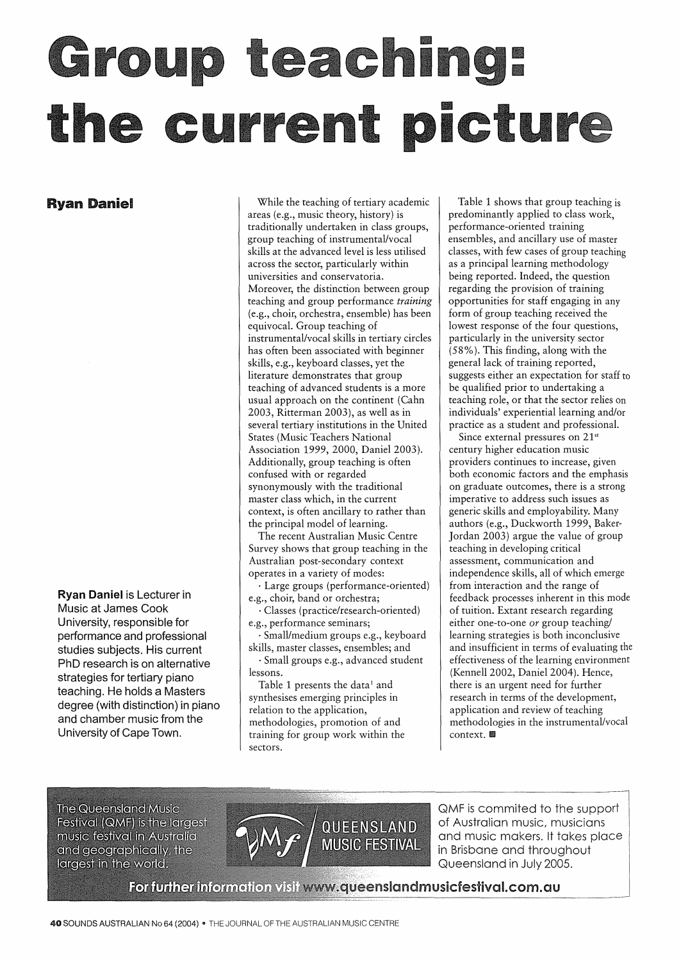## III **Ing: III** I **III**

**Ryan Daniel** 

**Ryan Daniel** is Lecturer in Music at James Cook University, responsible for performance and professional studies subjects. His current PhD research is on alternative strategies for tertiary piano teaching. He holds a Masters degree (with distinction) in piano and chamber music from the University of Cape Town.

While the teaching of tertiary academic areas (e.g., music theory, history) is traditionally undertaken in class groups, group teaching of instrumental/vocal skills at the advanced level is less utilised across the sector, particularly within universities and conservatoria. Moreover, the distinction between group teaching and group performance *training*  (e.g., choir, orchestra, ensemble) has been equivocal. Group teaching of instrumental/vocal skills in tertiary circles has often been associated with beginner skills, e.g., keyboard classes, yet the literature demonstrates that group teaching of advanced students is a more usual approach on the continent (Cahn 2003, Ritterman 2003), as well as in several tertiary institutions in the United States (Music Teachers National Association 1999, 2000, Daniel 2003). Additionally, group teaching is often confused with or regarded synonymously with the traditional master class which, in the current context, is often ancillary to rather than the principal model of learning.

The recent Australian Music Centre Survey shows that group teaching in the Australian post-secondary context operates in a variety of modes:

· Large groups (performance-oriented) e.g., choir, band or orchestra;

· Classes (practice/research-oriented) e.g., performance seminars;

Small/medium groups e.g., keyboard skills, master classes, ensembles; and

· Small groups e.g., advanced student lessons.

Table 1 presents the data<sup>1</sup> and synthesises emerging principles in relation to the application, methodologies, promotion of and training for group work within the sectors.

Table 1 shows that group teaching is predominantly applied to class work, performance-oriented training ensembles, and ancillary use of master classes, with few cases of group teaching as a principal learning methodology being reported. Indeed, the question regarding the provision of training opportunities for staff engaging in any form of group teaching received the lowest response of the four questions, particularly in the university sector (58%). This finding, along with the general lack of training reported, suggests either an expectation for staff to be qualified prior to undertaking a teaching role, or that the sector relies on individuals' experiential learning and/or practice as a student and professional.

Since external pressures on 21<sup>st</sup> century higher education music providers continues to increase, given both economic factors and the emphasis on graduate outcomes, there is a strong imperative to address such issues as generic skills and employability. Many authors (e.g., Duckworth 1999, Baker-Jordan 2003) argue the value of group teaching in developing critical assessment, communication and independence skills, all of which emerge from interaction and the range of feedback processes inherent in this mode of tuition. Extant research regarding either one-to-one or group teaching/ learning strategies is both inconclusive and insufficient in terms of evaluating the effectiveness of the learning environment (Kennell 2002, Daniel 2004). Hence, there is an urgent need for further research in terms of the development, application and review of teaching methodologies in the instrumental/vocal context.

**The Queensland Music Festival (QMF) is the largest** music festival in Australia and geographically, the largest in the world.



QMF is commited to the support of Australian music, musicians and music makers. It takes place in Brisbane and throughout Queensland in July 2005.

For further information visit www.queenslandmusicfestival.com.au